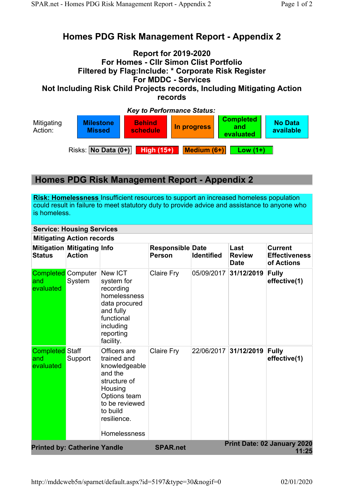## Homes PDG Risk Management Report - Appendix 2

## Report for 2019-2020 For Homes - Cllr Simon Clist Portfolio Filtered by Flag:Include: \* Corporate Risk Register For MDDC - Services

Not Including Risk Child Projects records, Including Mitigating Action records



## Homes PDG Risk Management Report - Appendix 2

Risk: Homelessness Insufficient resources to support an increased homeless population could result in failure to meet statutory duty to provide advice and assistance to anyone who is homeless.

## Service: Housing Services

| <b>Mitigating Action records</b>           |                                             |                                                                                                                                                                        |                                          |                   |                                      |                                                      |
|--------------------------------------------|---------------------------------------------|------------------------------------------------------------------------------------------------------------------------------------------------------------------------|------------------------------------------|-------------------|--------------------------------------|------------------------------------------------------|
| <b>Status</b>                              | Mitigation Mitigating Info<br><b>Action</b> |                                                                                                                                                                        | <b>Responsible Date</b><br><b>Person</b> | <b>Identified</b> | Last<br><b>Review</b><br><b>Date</b> | <b>Current</b><br><b>Effectiveness</b><br>of Actions |
| and<br>evaluated                           | <b>Completed Computer</b><br>System         | New ICT<br>system for<br>recording<br>homelessness<br>data procured<br>and fully<br>functional<br>including<br>reporting<br>facility.                                  | Claire Fry                               | 05/09/2017        | 31/12/2019                           | <b>Fully</b><br>effective(1)                         |
| <b>Completed</b> Staff<br>and<br>evaluated | Support                                     | Officers are<br>trained and<br>knowledgeable<br>and the<br>structure of<br>Housing<br>Options team<br>to be reviewed<br>to build<br>resilience.<br><b>Homelessness</b> | Claire Fry                               | 22/06/2017        | 31/12/2019                           | <b>Fully</b><br>effective(1)                         |
| <b>Printed by: Catherine Yandle</b>        |                                             |                                                                                                                                                                        | <b>SPAR.net</b>                          |                   |                                      | Print Date: 02 January 2020<br>11:25                 |